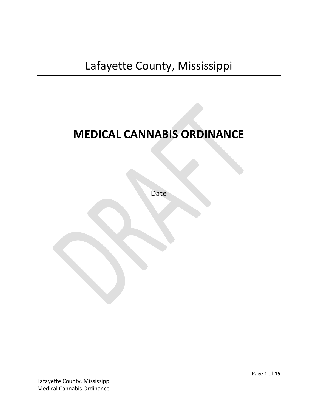# **MEDICAL CANNABIS ORDINANCE**

Date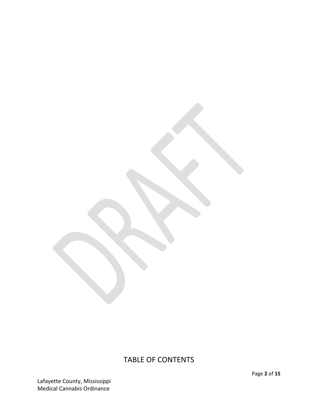# TABLE OF CONTENTS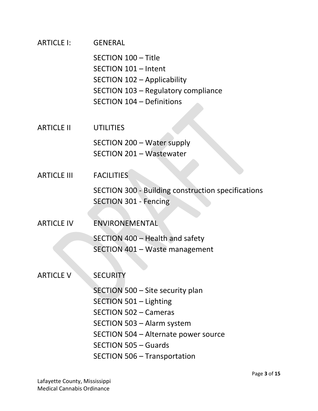| ARTICLE I:         | <b>GENERAL</b>                                                                                                                                                                                                                         |
|--------------------|----------------------------------------------------------------------------------------------------------------------------------------------------------------------------------------------------------------------------------------|
|                    | SECTION 100 - Title<br>SECTION 101 - Intent<br>SECTION 102 - Applicability<br>SECTION 103 - Regulatory compliance<br><b>SECTION 104 - Definitions</b>                                                                                  |
| <b>ARTICLE II</b>  | <b>UTILITIES</b>                                                                                                                                                                                                                       |
|                    | SECTION 200 - Water supply<br><b>SECTION 201 - Wastewater</b>                                                                                                                                                                          |
| <b>ARTICLE III</b> | <b>FACILITIES</b>                                                                                                                                                                                                                      |
|                    | <b>SECTION 300 - Building construction specifications</b><br><b>SECTION 301 - Fencing</b>                                                                                                                                              |
| <b>ARTICLE IV</b>  | ENVIRONEMENTAL                                                                                                                                                                                                                         |
|                    | SECTION 400 - Health and safety<br>SECTION 401 - Waste management                                                                                                                                                                      |
| <b>ARTICLE V</b>   | <b>SECURITY</b>                                                                                                                                                                                                                        |
|                    | SECTION 500 - Site security plan<br>SECTION 501 – Lighting<br><b>SECTION 502 - Cameras</b><br>SECTION 503 - Alarm system<br>SECTION 504 – Alternate power source<br><b>SECTION 505 - Guards</b><br><b>SECTION 506 - Transportation</b> |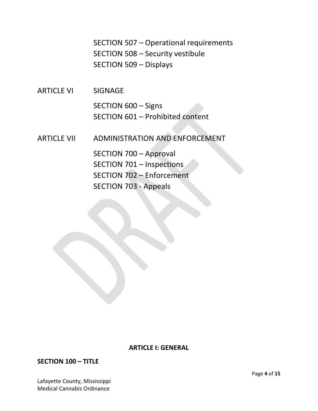SECTION 507 – Operational requirements SECTION 508 – Security vestibule SECTION 509 – Displays

ARTICLE VI SIGNAGE

SECTION 600 – Signs SECTION 601 – Prohibited content

ARTICLE VII ADMINISTRATION AND ENFORCEMENT

SECTION 700 – Approval SECTION 701 – Inspections SECTION 702 – Enforcement SECTION 703 - Appeals

#### **ARTICLE I: GENERAL**

**SECTION 100 – TITLE**

Lafayette County, Mississippi Medical Cannabis Ordinance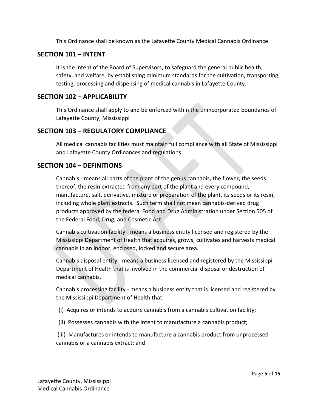This Ordinance shall be known as the Lafayette County Medical Cannabis Ordinance

#### **SECTION 101 – INTENT**

It is the intent of the Board of Supervisors, to safeguard the general public health, safety, and welfare, by establishing minimum standards for the cultivation, transporting, testing, processing and dispensing of medical cannabis in Lafayette County.

#### **SECTION 102 – APPLICABILITY**

This Ordinance shall apply to and be enforced within the unincorporated boundaries of Lafayette County, Mississippi

#### **SECTION 103 – REGULATORY COMPLIANCE**

All medical cannabis facilities must maintain full compliance with all State of Mississippi and Lafayette County Ordinances and regulations.

#### **SECTION 104 – DEFINITIONS**

Cannabis - means all parts of the plant of the genus cannabis, the flower, the seeds thereof, the resin extracted from any part of the plant and every compound, manufacture, salt, derivative, mixture or preparation of the plant, its seeds or its resin, including whole plant extracts. Such term shall not mean cannabis-derived drug products approved by the federal Food and Drug Administration under Section 505 of the Federal Food, Drug, and Cosmetic Act.

Cannabis cultivation facility - means a business entity licensed and registered by the Mississippi Department of Health that acquires, grows, cultivates and harvests medical cannabis in an indoor, enclosed, locked and secure area.

Cannabis disposal entity - means a business licensed and registered by the Mississippi Department of Health that is involved in the commercial disposal or destruction of medical cannabis.

Cannabis processing facility - means a business entity that is licensed and registered by the Mississippi Department of Health that:

- (i) Acquires or intends to acquire cannabis from a cannabis cultivation facility;
- (ii) Possesses cannabis with the intent to manufacture a cannabis product;

(iii) Manufactures or intends to manufacture a cannabis product from unprocessed cannabis or a cannabis extract; and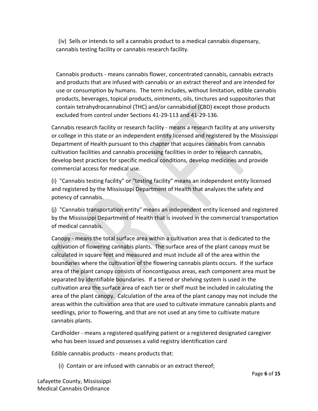(iv) Sells or intends to sell a cannabis product to a medical cannabis dispensary, cannabis testing facility or cannabis research facility.

Cannabis products - means cannabis flower, concentrated cannabis, cannabis extracts and products that are infused with cannabis or an extract thereof and are intended for use or consumption by humans. The term includes, without limitation, edible cannabis products, beverages, topical products, ointments, oils, tinctures and suppositories that contain tetrahydrocannabinol (THC) and/or cannabidiol (CBD) except those products excluded from control under Sections 41-29-113 and 41-29-136.

Cannabis research facility or research facility - means a research facility at any university or college in this state or an independent entity licensed and registered by the Mississippi Department of Health pursuant to this chapter that acquires cannabis from cannabis cultivation facilities and cannabis processing facilities in order to research cannabis, develop best practices for specific medical conditions, develop medicines and provide commercial access for medical use.

(i) "Cannabis testing facility" or "testing facility" means an independent entity licensed and registered by the Mississippi Department of Health that analyzes the safety and potency of cannabis.

(j) "Cannabis transportation entity" means an independent entity licensed and registered by the Mississippi Department of Health that is involved in the commercial transportation of medical cannabis.

Canopy - means the total surface area within a cultivation area that is dedicated to the cultivation of flowering cannabis plants. The surface area of the plant canopy must be calculated in square feet and measured and must include all of the area within the boundaries where the cultivation of the flowering cannabis plants occurs. If the surface area of the plant canopy consists of noncontiguous areas, each component area must be separated by identifiable boundaries. If a tiered or shelving system is used in the cultivation area the surface area of each tier or shelf must be included in calculating the area of the plant canopy. Calculation of the area of the plant canopy may not include the areas within the cultivation area that are used to cultivate immature cannabis plants and seedlings, prior to flowering, and that are not used at any time to cultivate mature cannabis plants.

Cardholder - means a registered qualifying patient or a registered designated caregiver who has been issued and possesses a valid registry identification card

Edible cannabis products - means products that:

(i) Contain or are infused with cannabis or an extract thereof;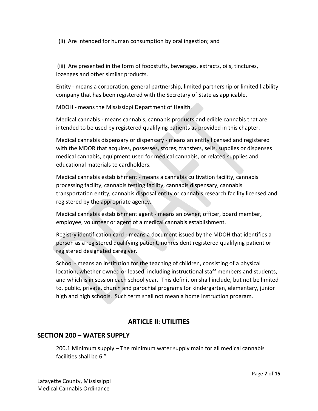(ii) Are intended for human consumption by oral ingestion; and

(iii) Are presented in the form of foodstuffs, beverages, extracts, oils, tinctures, lozenges and other similar products.

Entity - means a corporation, general partnership, limited partnership or limited liability company that has been registered with the Secretary of State as applicable.

MDOH - means the Mississippi Department of Health.

Medical cannabis - means cannabis, cannabis products and edible cannabis that are intended to be used by registered qualifying patients as provided in this chapter.

Medical cannabis dispensary or dispensary - means an entity licensed and registered with the MDOR that acquires, possesses, stores, transfers, sells, supplies or dispenses medical cannabis, equipment used for medical cannabis, or related supplies and educational materials to cardholders.

Medical cannabis establishment - means a cannabis cultivation facility, cannabis processing facility, cannabis testing facility, cannabis dispensary, cannabis transportation entity, cannabis disposal entity or cannabis research facility licensed and registered by the appropriate agency.

Medical cannabis establishment agent - means an owner, officer, board member, employee, volunteer or agent of a medical cannabis establishment.

Registry identification card - means a document issued by the MDOH that identifies a person as a registered qualifying patient, nonresident registered qualifying patient or registered designated caregiver.

School - means an institution for the teaching of children, consisting of a physical location, whether owned or leased, including instructional staff members and students, and which is in session each school year. This definition shall include, but not be limited to, public, private, church and parochial programs for kindergarten, elementary, junior high and high schools. Such term shall not mean a home instruction program.

# **ARTICLE II: UTILITIES**

# **SECTION 200 – WATER SUPPLY**

200.1 Minimum supply – The minimum water supply main for all medical cannabis facilities shall be 6."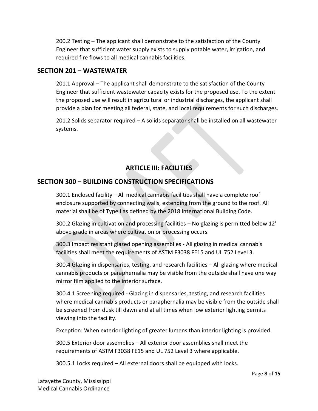200.2 Testing – The applicant shall demonstrate to the satisfaction of the County Engineer that sufficient water supply exists to supply potable water, irrigation, and required fire flows to all medical cannabis facilities.

#### **SECTION 201 – WASTEWATER**

201.1 Approval – The applicant shall demonstrate to the satisfaction of the County Engineer that sufficient wastewater capacity exists for the proposed use. To the extent the proposed use will result in agricultural or industrial discharges, the applicant shall provide a plan for meeting all federal, state, and local requirements for such discharges.

201.2 Solids separator required – A solids separator shall be installed on all wastewater systems.

# **ARTICLE III: FACILITIES**

# **SECTION 300 – BUILDING CONSTRUCTION SPECIFICATIONS**

300.1 Enclosed facility – All medical cannabis facilities shall have a complete roof enclosure supported by connecting walls, extending from the ground to the roof. All material shall be of Type I as defined by the 2018 International Building Code.

300.2 Glazing in cultivation and processing facilities – No glazing is permitted below 12' above grade in areas where cultivation or processing occurs.

300.3 Impact resistant glazed opening assemblies - All glazing in medical cannabis facilities shall meet the requirements of ASTM F3038 FE15 and UL 752 Level 3.

300.4 Glazing in dispensaries, testing, and research facilities – All glazing where medical cannabis products or paraphernalia may be visible from the outside shall have one way mirror film applied to the interior surface.

300.4.1 Screening required - Glazing in dispensaries, testing, and research facilities where medical cannabis products or paraphernalia may be visible from the outside shall be screened from dusk till dawn and at all times when low exterior lighting permits viewing into the facility.

Exception: When exterior lighting of greater lumens than interior lighting is provided.

300.5 Exterior door assemblies – All exterior door assemblies shall meet the requirements of ASTM F3038 FE15 and UL 752 Level 3 where applicable.

300.5.1 Locks required – All external doors shall be equipped with locks.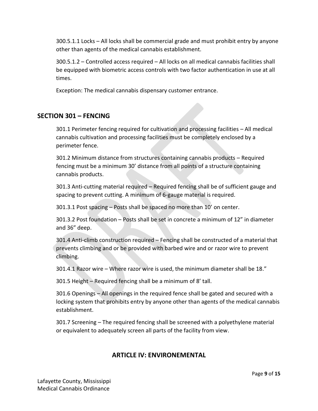300.5.1.1 Locks – All locks shall be commercial grade and must prohibit entry by anyone other than agents of the medical cannabis establishment.

300.5.1.2 – Controlled access required – All locks on all medical cannabis facilities shall be equipped with biometric access controls with two factor authentication in use at all times.

Exception: The medical cannabis dispensary customer entrance.

#### **SECTION 301 – FENCING**

301.1 Perimeter fencing required for cultivation and processing facilities – All medical cannabis cultivation and processing facilities must be completely enclosed by a perimeter fence.

301.2 Minimum distance from structures containing cannabis products – Required fencing must be a minimum 30' distance from all points of a structure containing cannabis products.

301.3 Anti-cutting material required – Required fencing shall be of sufficient gauge and spacing to prevent cutting. A minimum of 6-gauge material is required.

301.3.1 Post spacing – Posts shall be spaced no more than 10' on center.

301.3.2 Post foundation – Posts shall be set in concrete a minimum of 12" in diameter and 36" deep.

301.4 Anti-climb construction required – Fencing shall be constructed of a material that prevents climbing and or be provided with barbed wire and or razor wire to prevent climbing.

301.4.1 Razor wire – Where razor wire is used, the minimum diameter shall be 18."

301.5 Height – Required fencing shall be a minimum of 8' tall.

301.6 Openings – All openings in the required fence shall be gated and secured with a locking system that prohibits entry by anyone other than agents of the medical cannabis establishment.

301.7 Screening – The required fencing shall be screened with a polyethylene material or equivalent to adequately screen all parts of the facility from view.

#### **ARTICLE IV: ENVIRONEMENTAL**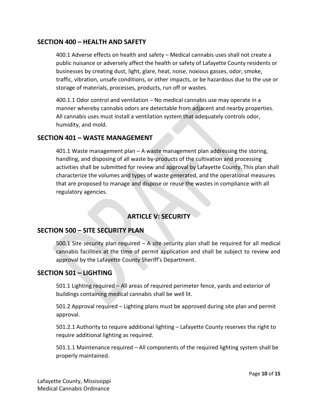#### **SECTION 400 – HEALTH AND SAFETY**

400.1 Adverse effects on health and safety – Medical cannabis uses shall not create a public nuisance or adversely affect the health or safety of Lafayette County residents or businesses by creating dust, light, glare, heat, noise, noxious gasses, odor, smoke, traffic, vibration, unsafe conditions, or other impacts, or be hazardous due to the use or storage of materials, processes, products, run off or wastes.

400.1.1 Odor control and ventilation – No medical cannabis use may operate in a manner whereby cannabis odors are detectable from adjacent and nearby properties. All cannabis uses must install a ventilation system that adequately controls odor, humidity, and mold.

#### **SECTION 401 – WASTE MANAGEMENT**

401.1 Waste management plan – A waste management plan addressing the storing, handling, and disposing of all waste by-products of the cultivation and processing activities shall be submitted for review and approval by Lafayette County. This plan shall characterize the volumes and types of waste generated, and the operational measures that are proposed to manage and dispose or reuse the wastes in compliance with all regulatory agencies.

# **ARTICLE V: SECURITY**

#### **SECTION 500 – SITE SECURITY PLAN**

500.1 Site security plan required – A site security plan shall be required for all medical cannabis facilities at the time of permit application and shall be subject to review and approval by the Lafayette County Sheriff's Department.

#### **SECTION 501 – LIGHTING**

501.1 Lighting required – All areas of required perimeter fence, yards and exterior of buildings containing medical cannabis shall be well lit.

501.2 Approval required – Lighting plans must be approved during site plan and permit approval.

501.2.1 Authority to require additional lighting – Lafayette County reserves the right to require additional lighting as required.

501.1.1 Maintenance required – All components of the required lighting system shall be properly maintained.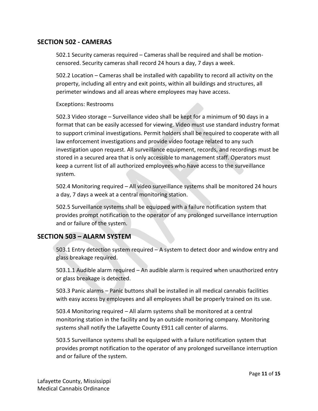#### **SECTION 502 - CAMERAS**

502.1 Security cameras required – Cameras shall be required and shall be motioncensored. Security cameras shall record 24 hours a day, 7 days a week.

502.2 Location – Cameras shall be installed with capability to record all activity on the property, including all entry and exit points, within all buildings and structures, all perimeter windows and all areas where employees may have access.

#### Exceptions: Restrooms

502.3 Video storage – Surveillance video shall be kept for a minimum of 90 days in a format that can be easily accessed for viewing. Video must use standard industry format to support criminal investigations. Permit holders shall be required to cooperate with all law enforcement investigations and provide video footage related to any such investigation upon request. All surveillance equipment, records, and recordings must be stored in a secured area that is only accessible to management staff. Operators must keep a current list of all authorized employees who have access to the surveillance system.

502.4 Monitoring required – All video surveillance systems shall be monitored 24 hours a day, 7 days a week at a central monitoring station.

502.5 Surveillance systems shall be equipped with a failure notification system that provides prompt notification to the operator of any prolonged surveillance interruption and or failure of the system.

#### **SECTION 503 – ALARM SYSTEM**

503.1 Entry detection system required – A system to detect door and window entry and glass breakage required.

503.1.1 Audible alarm required – An audible alarm is required when unauthorized entry or glass breakage is detected.

503.3 Panic alarms – Panic buttons shall be installed in all medical cannabis facilities with easy access by employees and all employees shall be properly trained on its use.

503.4 Monitoring required – All alarm systems shall be monitored at a central monitoring station in the facility and by an outside monitoring company. Monitoring systems shall notify the Lafayette County E911 call center of alarms.

503.5 Surveillance systems shall be equipped with a failure notification system that provides prompt notification to the operator of any prolonged surveillance interruption and or failure of the system.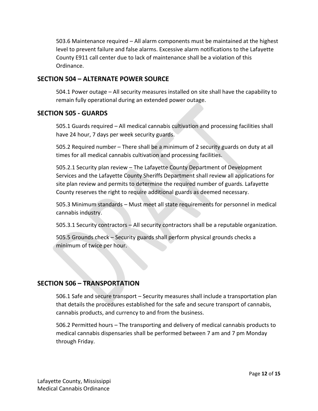503.6 Maintenance required – All alarm components must be maintained at the highest level to prevent failure and false alarms. Excessive alarm notifications to the Lafayette County E911 call center due to lack of maintenance shall be a violation of this Ordinance.

#### **SECTION 504 – ALTERNATE POWER SOURCE**

504.1 Power outage – All security measures installed on site shall have the capability to remain fully operational during an extended power outage.

#### **SECTION 505 - GUARDS**

505.1 Guards required – All medical cannabis cultivation and processing facilities shall have 24 hour, 7 days per week security guards.

505.2 Required number – There shall be a minimum of 2 security guards on duty at all times for all medical cannabis cultivation and processing facilities.

505.2.1 Security plan review – The Lafayette County Department of Development Services and the Lafayette County Sheriffs Department shall review all applications for site plan review and permits to determine the required number of guards. Lafayette County reserves the right to require additional guards as deemed necessary.

505.3 Minimum standards – Must meet all state requirements for personnel in medical cannabis industry.

505.3.1 Security contractors – All security contractors shall be a reputable organization.

505.5 Grounds check – Security guards shall perform physical grounds checks a minimum of twice per hour.

# **SECTION 506 – TRANSPORTATION**

506.1 Safe and secure transport – Security measures shall include a transportation plan that details the procedures established for the safe and secure transport of cannabis, cannabis products, and currency to and from the business.

506.2 Permitted hours – The transporting and delivery of medical cannabis products to medical cannabis dispensaries shall be performed between 7 am and 7 pm Monday through Friday.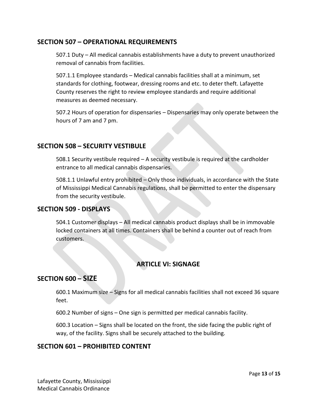#### **SECTION 507 – OPERATIONAL REQUIREMENTS**

507.1 Duty – All medical cannabis establishments have a duty to prevent unauthorized removal of cannabis from facilities.

507.1.1 Employee standards – Medical cannabis facilities shall at a minimum, set standards for clothing, footwear, dressing rooms and etc. to deter theft. Lafayette County reserves the right to review employee standards and require additional measures as deemed necessary.

507.2 Hours of operation for dispensaries – Dispensaries may only operate between the hours of 7 am and 7 pm.

#### **SECTION 508 – SECURITY VESTIBULE**

508.1 Security vestibule required – A security vestibule is required at the cardholder entrance to all medical cannabis dispensaries.

508.1.1 Unlawful entry prohibited – Only those individuals, in accordance with the State of Mississippi Medical Cannabis regulations, shall be permitted to enter the dispensary from the security vestibule.

#### **SECTION 509 - DISPLAYS**

504.1 Customer displays – All medical cannabis product displays shall be in immovable locked containers at all times. Containers shall be behind a counter out of reach from customers.

# **ARTICLE VI: SIGNAGE**

# **SECTION 600 – SIZE**

600.1 Maximum size – Signs for all medical cannabis facilities shall not exceed 36 square feet.

600.2 Number of signs – One sign is permitted per medical cannabis facility.

600.3 Location – Signs shall be located on the front, the side facing the public right of way, of the facility. Signs shall be securely attached to the building.

#### **SECTION 601 – PROHIBITED CONTENT**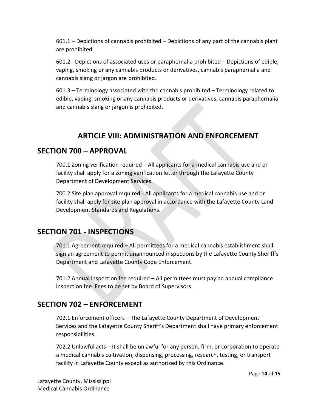601.1 – Depictions of cannabis prohibited – Depictions of any part of the cannabis plant are prohibited.

601.2 - Depictions of associated uses or paraphernalia prohibited – Depictions of edible, vaping, smoking or any cannabis products or derivatives, cannabis paraphernalia and cannabis slang or jargon are prohibited.

601.3 – Terminology associated with the cannabis prohibited – Terminology related to edible, vaping, smoking or any cannabis products or derivatives, cannabis paraphernalia and cannabis slang or jargon is prohibited.

# **ARTICLE VIII: ADMINISTRATION AND ENFORCEMENT**

# **SECTION 700 – APPROVAL**

700.1 Zoning verification required – All applicants for a medical cannabis use and or facility shall apply for a zoning verification letter through the Lafayette County Department of Development Services.

700.2 Site plan approval required - All applicants for a medical cannabis use and or facility shall apply for site plan approval in accordance with the Lafayette County Land Development Standards and Regulations.

# **SECTION 701 - INSPECTIONS**

701.1 Agreement required – All permittees for a medical cannabis establishment shall sign an agreement to permit unannounced inspections by the Lafayette County Sheriff's Department and Lafayette County Code Enforcement.

701.2 Annual inspection fee required – All permittees must pay an annual compliance inspection fee. Fees to be set by Board of Supervisors.

# **SECTION 702 – ENFORCEMENT**

702.1 Enforcement officers – The Lafayette County Department of Development Services and the Lafayette County Sheriff's Department shall have primary enforcement responsibilities.

702.2 Unlawful acts – It shall be unlawful for any person, firm, or corporation to operate a medical cannabis cultivation, dispensing, processing, research, testing, or transport facility in Lafayette County except as authorized by this Ordinance.